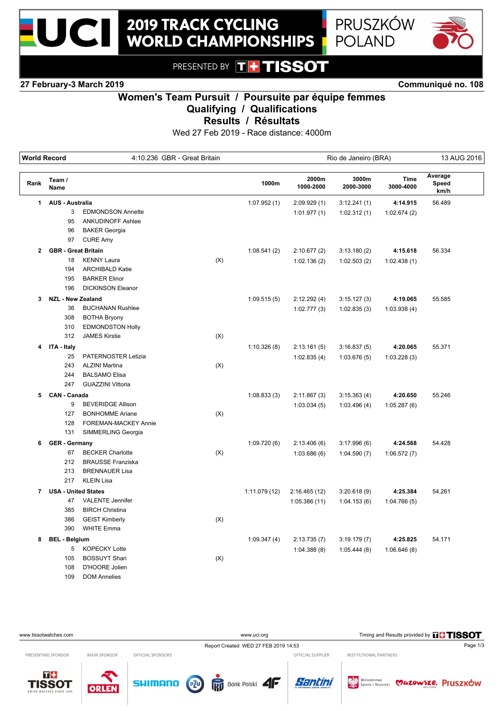



PRESENTED BY **TH TISSOT** 

**27 February-3 March 2019 Communiqué no. 108**

# **Women's Team Pursuit / Poursuite par équipe femmes Qualifying / Qualifications**

**Results / Résultats**

Wed 27 Feb 2019 - Race distance: 4000m

| <b>World Record</b> |                            | 4:10.236 GBR - Great Britain |     |               | Rio de Janeiro (BRA) |                    |                   | 13 AUG 2016              |  |
|---------------------|----------------------------|------------------------------|-----|---------------|----------------------|--------------------|-------------------|--------------------------|--|
| Rank                | Team /<br>Name             |                              |     | 1000m         | 2000m<br>1000-2000   | 3000m<br>2000-3000 | Time<br>3000-4000 | Average<br>Speed<br>km/h |  |
| 1                   | <b>AUS - Australia</b>     |                              |     | 1:07.952(1)   | 2:09.929(1)          | 3:12.241(1)        | 4:14.915          | 56.489                   |  |
|                     | 3                          | <b>EDMONDSON Annette</b>     |     |               | 1:01.977(1)          | 1:02.312(1)        | 1:02.674(2)       |                          |  |
|                     | 95                         | <b>ANKUDINOFF Ashlee</b>     |     |               |                      |                    |                   |                          |  |
|                     | 96                         | <b>BAKER Georgia</b>         |     |               |                      |                    |                   |                          |  |
|                     | 97                         | <b>CURE Amy</b>              |     |               |                      |                    |                   |                          |  |
| $\mathbf{2}$        | <b>GBR</b> - Great Britain |                              |     | 1:08.541(2)   | 2:10.677(2)          | 3:13.180(2)        | 4:15.618          | 56.334                   |  |
|                     | 18                         | <b>KENNY Laura</b>           | (X) |               | 1:02.136(2)          | 1:02.503(2)        | 1:02.438(1)       |                          |  |
|                     | 194                        | <b>ARCHIBALD Katie</b>       |     |               |                      |                    |                   |                          |  |
|                     | 195                        | <b>BARKER Elinor</b>         |     |               |                      |                    |                   |                          |  |
|                     | 196                        | <b>DICKINSON Eleanor</b>     |     |               |                      |                    |                   |                          |  |
| 3                   | <b>NZL - New Zealand</b>   |                              |     | 1:09.515(5)   | 2:12.292(4)          | 3:15.127(3)        | 4:19.065          | 55.585                   |  |
|                     | 36                         | <b>BUCHANAN Rushlee</b>      |     |               | 1:02.777(3)          | 1:02.835(3)        | 1:03.938(4)       |                          |  |
|                     | 308                        | <b>BOTHA Bryony</b>          |     |               |                      |                    |                   |                          |  |
|                     | 310                        | <b>EDMONDSTON Holly</b>      |     |               |                      |                    |                   |                          |  |
|                     | 312                        | <b>JAMES Kirstie</b>         | (X) |               |                      |                    |                   |                          |  |
| 4                   | ITA - Italy                |                              |     | 1:10.326(8)   | 2:13.161(5)          | 3:16.837(5)        | 4:20.065          | 55.371                   |  |
|                     | 25                         | PATERNOSTER Letizia          |     |               | 1:02.835(4)          | 1:03.676(5)        | 1:03.228(3)       |                          |  |
|                     | 243                        | <b>ALZINI Martina</b>        | (X) |               |                      |                    |                   |                          |  |
|                     | 244                        | <b>BALSAMO Elisa</b>         |     |               |                      |                    |                   |                          |  |
|                     | 247                        | <b>GUAZZINI Vittoria</b>     |     |               |                      |                    |                   |                          |  |
| 5                   | <b>CAN - Canada</b>        |                              |     | 1:08.833(3)   | 2:11.867(3)          | 3:15.363(4)        | 4:20.650          | 55.246                   |  |
|                     | 9                          | <b>BEVERIDGE Allison</b>     |     |               | 1:03.034(5)          | 1:03.496(4)        | 1:05.287(6)       |                          |  |
|                     | 127                        | <b>BONHOMME Ariane</b>       | (X) |               |                      |                    |                   |                          |  |
|                     | 128                        | FOREMAN-MACKEY Annie         |     |               |                      |                    |                   |                          |  |
|                     | 131                        | SIMMERLING Georgia           |     |               |                      |                    |                   |                          |  |
| 6                   | <b>GER - Germany</b>       |                              |     | 1:09.720(6)   | 2:13.406(6)          | 3:17.996(6)        | 4:24.568          | 54.428                   |  |
|                     | 67                         | <b>BECKER Charlotte</b>      | (X) |               | 1:03.686(6)          | 1:04.590(7)        | 1:06.572(7)       |                          |  |
|                     | 212                        | <b>BRAUSSE Franziska</b>     |     |               |                      |                    |                   |                          |  |
|                     | 213                        | <b>BRENNAUER Lisa</b>        |     |               |                      |                    |                   |                          |  |
|                     | 217                        | <b>KLEIN Lisa</b>            |     |               |                      |                    |                   |                          |  |
| $\overline{7}$      | <b>USA - United States</b> |                              |     | 1:11.079 (12) | 2:16.465(12)         | 3:20.618(9)        | 4:25.384          | 54.261                   |  |
|                     | 47                         | <b>VALENTE Jennifer</b>      |     |               | 1:05.386(11)         | 1:04.153(6)        | 1:04.766(5)       |                          |  |
|                     | 385                        | <b>BIRCH Christina</b>       |     |               |                      |                    |                   |                          |  |
|                     | 386                        | <b>GEIST Kimberly</b>        | (X) |               |                      |                    |                   |                          |  |
|                     | 390                        | <b>WHITE Emma</b>            |     |               |                      |                    |                   |                          |  |
| 8                   | <b>BEL - Belgium</b>       |                              |     | 1:09.347(4)   | 2:13.735(7)          | 3:19.179(7)        | 4:25.825          | 54.171                   |  |
|                     | 5                          | <b>KOPECKY Lotte</b>         |     |               | 1:04.388(8)          | 1:05.444(8)        | 1:06.646(8)       |                          |  |
|                     | 105                        | <b>BOSSUYT Shari</b>         | (X) |               |                      |                    |                   |                          |  |
|                     | 108                        | D'HOORE Jolien               |     |               |                      |                    |                   |                          |  |
|                     | 109                        | <b>DOM Annelies</b>          |     |               |                      |                    |                   |                          |  |

| www.tissotwatches.com |                     |                   | www.uci.org                                         |                   | Timing and Results provided by THISSOT     |                    |  |
|-----------------------|---------------------|-------------------|-----------------------------------------------------|-------------------|--------------------------------------------|--------------------|--|
|                       |                     |                   | Report Created WED 27 FEB 2019 14:53                |                   |                                            | Page 1/3           |  |
| PRESENTING SPONSOR    | <b>MAIN SPONSOR</b> | OFFICIAL SPONSORS |                                                     | OFFICIAL SUPPLIER | INSTITUTIONAL PARTNERS                     |                    |  |
| T+<br><b>TISSOT</b>   | <b>ODLEN</b>        | <b>SHIMANO</b>    | P <sub>10</sub><br><b>RTT</b> Bank Polski <b>4F</b> | Santini           | Ministerstwo<br>William Sportu i Turystyki | MAZOWSZE. Pruszków |  |

**ORLEN**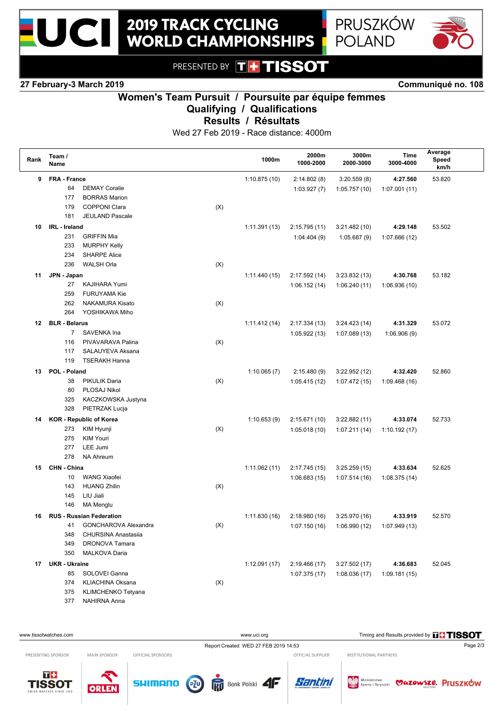

PRESENTED BY THTISSOT

**2019 TRACK CYCLING** 

**WORLD CHAMPIONSHIPS** 

### **27 February-3 March 2019 Communiqué no. 108**

 $\blacksquare$ 

## **Women's Team Pursuit / Poursuite par équipe femmes Qualifying / Qualifications**

**Results / Résultats**

Wed 27 Feb 2019 - Race distance: 4000m

| Rank | Team /<br>Name       |                                 |     | 1000m         | 2000m<br>1000-2000 | 3000m<br>2000-3000 | Time<br>3000-4000 | Average<br>Speed<br>km/h |  |
|------|----------------------|---------------------------------|-----|---------------|--------------------|--------------------|-------------------|--------------------------|--|
| 9    | FRA - France         |                                 |     | 1:10.875(10)  | 2:14.802(8)        | 3:20.559(8)        | 4:27.560          | 53.820                   |  |
|      | 64                   | <b>DEMAY Coralie</b>            |     |               | 1:03.927(7)        | 1:05.757(10)       | 1:07.001(11)      |                          |  |
|      | 177                  | <b>BORRAS Marion</b>            |     |               |                    |                    |                   |                          |  |
|      | 179                  | <b>COPPONI Clara</b>            | (X) |               |                    |                    |                   |                          |  |
|      | 181                  | <b>JEULAND Pascale</b>          |     |               |                    |                    |                   |                          |  |
| 10   | IRL - Ireland        |                                 |     | 1:11.391(13)  | 2:15.795 (11)      | 3:21.482(10)       | 4:29.148          | 53.502                   |  |
|      | 231                  | <b>GRIFFIN Mia</b>              |     |               | 1:04.404(9)        | 1:05.687(9)        | 1:07.666 (12)     |                          |  |
|      | 233                  | <b>MURPHY Kelly</b>             |     |               |                    |                    |                   |                          |  |
|      | 234                  | <b>SHARPE Alice</b>             |     |               |                    |                    |                   |                          |  |
|      | 236                  | <b>WALSH Orla</b>               | (X) |               |                    |                    |                   |                          |  |
| 11   | JPN - Japan          |                                 |     | 1:11.440(15)  | 2:17.592 (14)      | 3:23.832(13)       | 4:30.768          | 53.182                   |  |
|      | 27                   | KAJIHARA Yumi                   |     |               | 1:06.152(14)       | 1:06.240(11)       | 1:06.936(10)      |                          |  |
|      | 259                  | <b>FURUYAMA Kie</b>             |     |               |                    |                    |                   |                          |  |
|      | 262                  | <b>NAKAMURA Kisato</b>          | (X) |               |                    |                    |                   |                          |  |
|      | 264                  | YOSHIKAWA Miho                  |     |               |                    |                    |                   |                          |  |
| 12   | <b>BLR - Belarus</b> |                                 |     | 1:11.412 (14) | 2:17.334 (13)      | 3:24.423(14)       | 4:31.329          | 53.072                   |  |
|      | $\overline{7}$       | SAVENKA Ina                     |     |               | 1:05.922(13)       | 1:07.089(13)       | 1:06.906(9)       |                          |  |
|      | 116                  | PIVAVARAVA Palina               | (X) |               |                    |                    |                   |                          |  |
|      | 117                  | SALAUYEVA Aksana                |     |               |                    |                    |                   |                          |  |
|      | 119                  | <b>TSERAKH Hanna</b>            |     |               |                    |                    |                   |                          |  |
| 13   | POL - Poland         |                                 |     | 1:10.065(7)   | 2:15.480(9)        | 3:22.952(12)       | 4:32.420          | 52.860                   |  |
|      | 38                   | <b>PIKULIK Daria</b>            | (X) |               | 1:05.415(12)       | 1:07.472 (15)      | 1:09.468(16)      |                          |  |
|      | 80                   | PLOSAJ Nikol                    |     |               |                    |                    |                   |                          |  |
|      | 325                  | KACZKOWSKA Justyna              |     |               |                    |                    |                   |                          |  |
|      | 328                  | PIETRZAK Lucja                  |     |               |                    |                    |                   |                          |  |
| 14   |                      | <b>KOR</b> - Republic of Korea  |     | 1:10.653(9)   | 2:15.671 (10)      | 3:22.882(11)       | 4:33.074          | 52.733                   |  |
|      | 273                  | KIM Hyunji                      | (X) |               | 1:05.018(10)       | 1:07.211(14)       | 1:10.192 (17)     |                          |  |
|      | 275                  | <b>KIM Youri</b>                |     |               |                    |                    |                   |                          |  |
|      | 277                  | LEE Jumi                        |     |               |                    |                    |                   |                          |  |
|      | 278                  | <b>NA Ahreum</b>                |     |               |                    |                    |                   |                          |  |
| 15   | CHN - China          |                                 |     | 1:11.062(11)  | 2:17.745 (15)      | 3:25.259(15)       | 4:33.634          | 52.625                   |  |
|      | 10                   | <b>WANG Xiaofei</b>             |     |               | 1:06.683(15)       | 1:07.514(16)       | 1:08.375(14)      |                          |  |
|      | 143                  | <b>HUANG Zhilin</b>             | (X) |               |                    |                    |                   |                          |  |
|      | 145                  | LIU Jiali                       |     |               |                    |                    |                   |                          |  |
|      | 146                  | <b>MA Menglu</b>                |     |               |                    |                    |                   |                          |  |
| 16   |                      | <b>RUS - Russian Federation</b> |     | 1:11.830(16)  | 2:18.980(16)       | 3:25.970 (16)      | 4:33.919          | 52.570                   |  |
|      | 41                   | GONCHAROVA Alexandra            | (X) |               | 1:07.150 (16)      | 1:06.990(12)       | 1:07.949 (13)     |                          |  |
|      | 348                  | CHURSINA Anastasiia             |     |               |                    |                    |                   |                          |  |
|      | 349                  | <b>DRONOVA Tamara</b>           |     |               |                    |                    |                   |                          |  |
|      | 350                  | MALKOVA Daria                   |     |               |                    |                    |                   |                          |  |
| 17   | <b>UKR - Ukraine</b> |                                 |     | 1:12.091(17)  | 2:19.466 (17)      | 3:27.502(17)       | 4:36.683          | 52.045                   |  |
|      | 85                   | SOLOVEI Ganna                   |     |               | 1:07.375(17)       | 1:08.036(17)       | 1:09.181(15)      |                          |  |
|      | 374                  | <b>KLIACHINA Oksana</b>         | (X) |               |                    |                    |                   |                          |  |
|      | 375                  | KLIMCHENKO Tetyana              |     |               |                    |                    |                   |                          |  |
|      | 377                  | NAHIRNA Anna                    |     |               |                    |                    |                   |                          |  |

www.uci.org Timing and Results provided by **THSSOT** Report Created WED 27 FEB 2019 14:53 Page 2/3 OFFICIAL SUPPLIER INSTITUTIONAL PARTNERS PRESENTING SPONSOR MAIN SPONSOR OFFICIAL SPONSORS